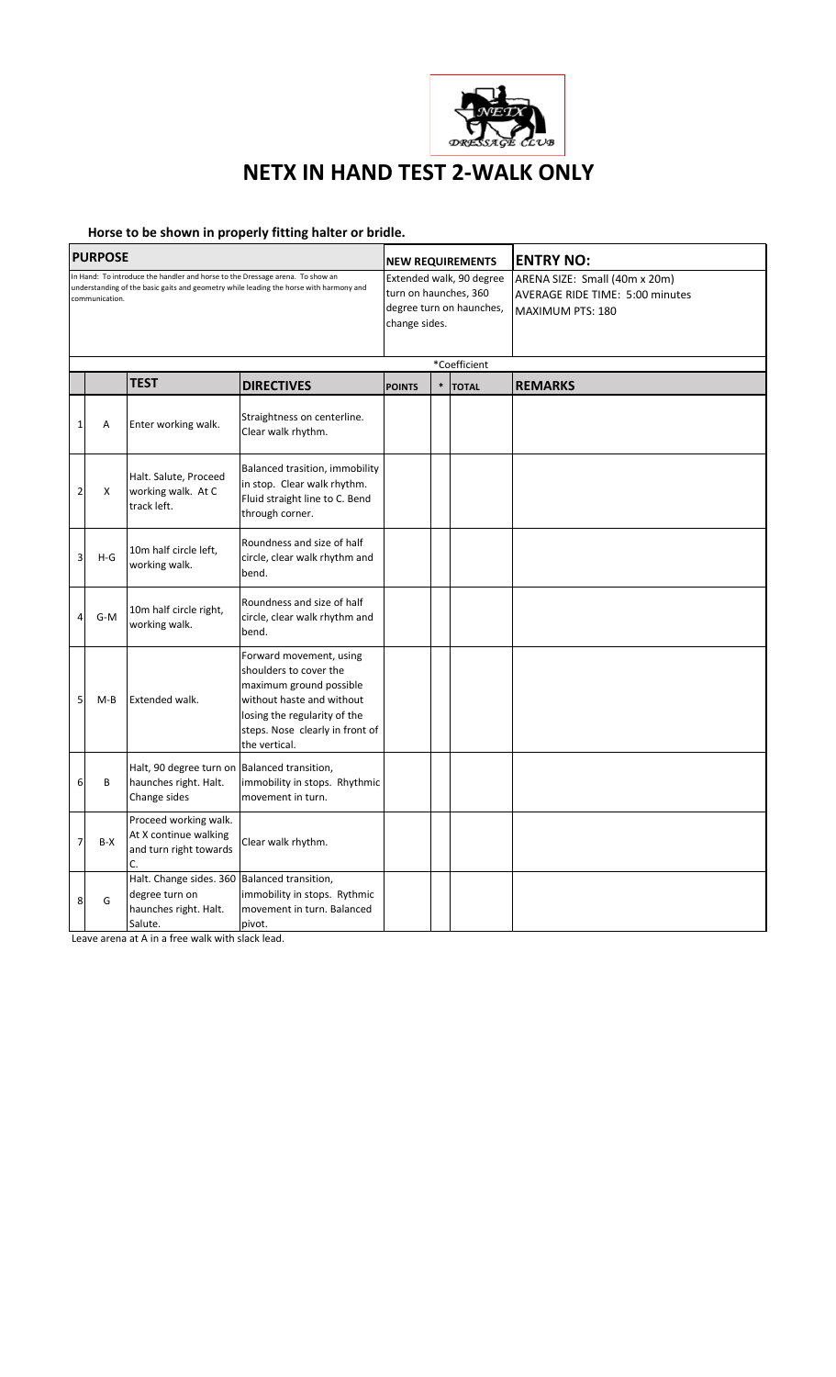

## **NETX IN HAND TEST 2-WALK ONLY**

## **Horse to be shown in properly fitting halter or bridle.**

| <b>PURPOSE</b>                                                                                                                                                                            |       |                                                                                                    |                                                                                                                                                                                               |                                                                                                |        | <b>NEW REQUIREMENTS</b> | <b>ENTRY NO:</b>                                                                            |  |
|-------------------------------------------------------------------------------------------------------------------------------------------------------------------------------------------|-------|----------------------------------------------------------------------------------------------------|-----------------------------------------------------------------------------------------------------------------------------------------------------------------------------------------------|------------------------------------------------------------------------------------------------|--------|-------------------------|---------------------------------------------------------------------------------------------|--|
| In Hand: To introduce the handler and horse to the Dressage arena. To show an<br>understanding of the basic gaits and geometry while leading the horse with harmony and<br>communication. |       |                                                                                                    |                                                                                                                                                                                               | Extended walk, 90 degree<br>turn on haunches, 360<br>degree turn on haunches,<br>change sides. |        |                         | ARENA SIZE: Small (40m x 20m)<br><b>AVERAGE RIDE TIME: 5:00 minutes</b><br>MAXIMUM PTS: 180 |  |
|                                                                                                                                                                                           |       |                                                                                                    |                                                                                                                                                                                               |                                                                                                |        | *Coefficient            |                                                                                             |  |
|                                                                                                                                                                                           |       | <b>TEST</b>                                                                                        | <b>DIRECTIVES</b>                                                                                                                                                                             | <b>POINTS</b>                                                                                  | $\ast$ | <b>TOTAL</b>            | <b>REMARKS</b>                                                                              |  |
| $\mathbf{1}$                                                                                                                                                                              | Α     | Enter working walk.                                                                                | Straightness on centerline.<br>Clear walk rhythm.                                                                                                                                             |                                                                                                |        |                         |                                                                                             |  |
| $\overline{2}$                                                                                                                                                                            | X     | Halt. Salute, Proceed<br>working walk. At C<br>track left.                                         | Balanced trasition, immobility<br>in stop. Clear walk rhythm.<br>Fluid straight line to C. Bend<br>through corner.                                                                            |                                                                                                |        |                         |                                                                                             |  |
| 3                                                                                                                                                                                         | $H-G$ | 10m half circle left,<br>working walk.                                                             | Roundness and size of half<br>circle, clear walk rhythm and<br>bend.                                                                                                                          |                                                                                                |        |                         |                                                                                             |  |
| 4                                                                                                                                                                                         | $G-M$ | 10m half circle right,<br>working walk.                                                            | Roundness and size of half<br>circle, clear walk rhythm and<br>bend.                                                                                                                          |                                                                                                |        |                         |                                                                                             |  |
| 5                                                                                                                                                                                         | $M-B$ | Extended walk.                                                                                     | Forward movement, using<br>shoulders to cover the<br>maximum ground possible<br>without haste and without<br>losing the regularity of the<br>steps. Nose clearly in front of<br>the vertical. |                                                                                                |        |                         |                                                                                             |  |
| 6                                                                                                                                                                                         | B     | Halt, 90 degree turn on Balanced transition,<br>haunches right. Halt.<br>Change sides              | immobility in stops. Rhythmic<br>movement in turn.                                                                                                                                            |                                                                                                |        |                         |                                                                                             |  |
| $\overline{7}$                                                                                                                                                                            | B-X   | Proceed working walk.<br>At X continue walking<br>and turn right towards<br>C.                     | Clear walk rhythm.                                                                                                                                                                            |                                                                                                |        |                         |                                                                                             |  |
| 8                                                                                                                                                                                         | G     | Halt. Change sides. 360 Balanced transition,<br>degree turn on<br>haunches right. Halt.<br>Salute. | immobility in stops. Rythmic<br>movement in turn. Balanced<br>pivot.                                                                                                                          |                                                                                                |        |                         |                                                                                             |  |

Leave arena at A in a free walk with slack lead.